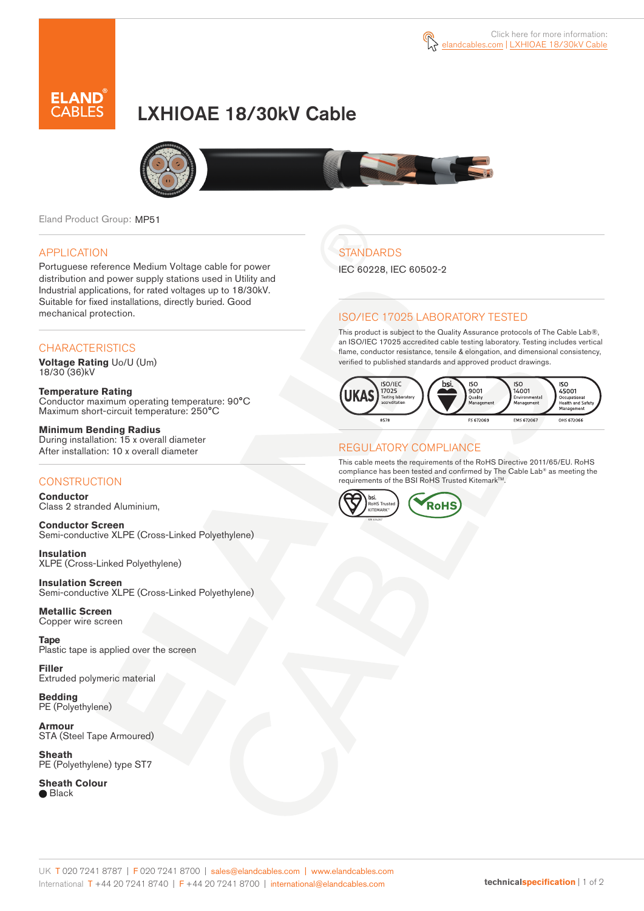

# LXHIOAE 18/30kV Cable



Eland Product Group: MP51

### APPLICATION

Portuguese reference Medium Voltage cable for power distribution and power supply stations used in Utility and Industrial applications, for rated voltages up to 18/30kV. Suitable for fixed installations, directly buried. Good mechanical protection.

### **CHARACTERISTICS**

**Voltage Rating** Uo/U (Um) 18/30 (36)kV

**Temperature Rating** Conductor maximum operating temperature: 90°C Maximum short-circuit temperature: 250°C

**Minimum Bending Radius** During installation: 15 x overall diameter After installation: 10 x overall diameter

### **CONSTRUCTION**

**Conductor**  Class 2 stranded Aluminium,

**Conductor Screen** Semi-conductive XLPE (Cross-Linked Polyethylene)

**Insulation** XLPE (Cross-Linked Polyethylene)

**Insulation Screen** Semi-conductive XLPE (Cross-Linked Polyethylene)

**Metallic Screen**  Copper wire screen

**Tape**  Plastic tape is applied over the screen

**Filler** Extruded polymeric material

**Bedding** PE (Polyethylene)

**Armour** STA (Steel Tape Armoured)

**Sheath** PE (Polyethylene) type ST7

**Sheath Colour ■** Black

# **STANDARDS**

IEC 60228, IEC 60502-2

### ISO/IEC 17025 LABORATORY TESTED

This product is subject to the Quality Assurance protocols of The Cable Lab®, an ISO/IEC 17025 accredited cable testing laboratory. Testing includes vertical flame, conductor resistance, tensile & elongation, and dimensional consistency, verified to published standards and approved product drawings.



#### REGULATORY COMPLIANCE

This cable meets the requirements of the RoHS Directive 2011/65/EU. RoHS compliance has been tested and confirmed by The Cable Lab® as meeting the requirements of the BSI RoHS Trusted Kitemark™.